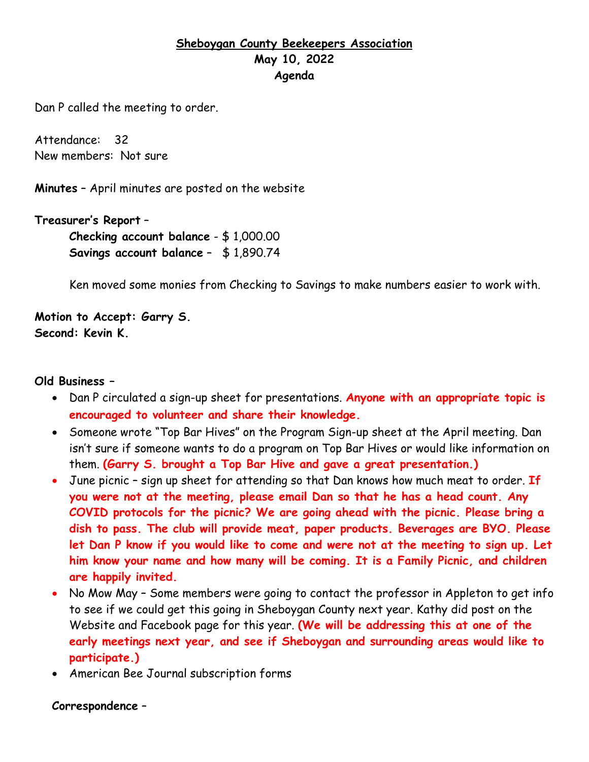# **Sheboygan County Beekeepers Association May 10, 2022 Agenda**

Dan P called the meeting to order.

Attendance: 32 New members: Not sure

**Minutes** – April minutes are posted on the website

**Treasurer's Report** – **Checking account balance** - \$ 1,000.00 **Savings account balance** – \$ 1,890.74

Ken moved some monies from Checking to Savings to make numbers easier to work with.

**Motion to Accept: Garry S. Second: Kevin K.**

### **Old Business –**

- Dan P circulated a sign-up sheet for presentations. **Anyone with an appropriate topic is encouraged to volunteer and share their knowledge.**
- Someone wrote "Top Bar Hives" on the Program Sign-up sheet at the April meeting. Dan isn't sure if someone wants to do a program on Top Bar Hives or would like information on them. **(Garry S. brought a Top Bar Hive and gave a great presentation.)**
- June picnic sign up sheet for attending so that Dan knows how much meat to order. **If you were not at the meeting, please email Dan so that he has a head count. Any COVID protocols for the picnic? We are going ahead with the picnic. Please bring a dish to pass. The club will provide meat, paper products. Beverages are BYO. Please let Dan P know if you would like to come and were not at the meeting to sign up. Let him know your name and how many will be coming. It is a Family Picnic, and children are happily invited.**
- No Mow May Some members were going to contact the professor in Appleton to get info to see if we could get this going in Sheboygan County next year. Kathy did post on the Website and Facebook page for this year. **(We will be addressing this at one of the early meetings next year, and see if Sheboygan and surrounding areas would like to participate.)**
- American Bee Journal subscription forms

#### **Correspondence** –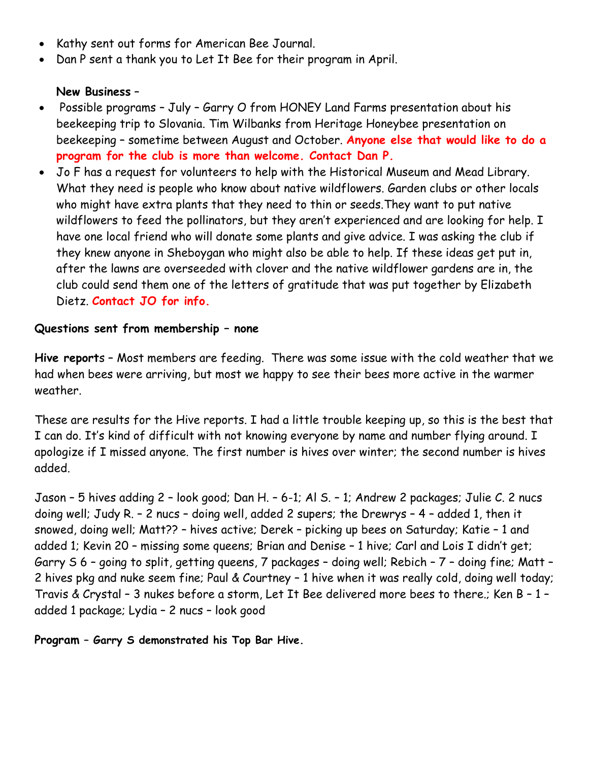- Kathy sent out forms for American Bee Journal.
- Dan P sent a thank you to Let It Bee for their program in April.

## **New Business** –

- Possible programs July Garry O from HONEY Land Farms presentation about his beekeeping trip to Slovania. Tim Wilbanks from Heritage Honeybee presentation on beekeeping – sometime between August and October. **Anyone else that would like to do a program for the club is more than welcome. Contact Dan P.**
- Jo F has a request for volunteers to help with the Historical Museum and Mead Library. What they need is people who know about native wildflowers. Garden clubs or other locals who might have extra plants that they need to thin or seeds.They want to put native wildflowers to feed the pollinators, but they aren't experienced and are looking for help. I have one local friend who will donate some plants and give advice. I was asking the club if they knew anyone in Sheboygan who might also be able to help. If these ideas get put in, after the lawns are overseeded with clover and the native wildflower gardens are in, the club could send them one of the letters of gratitude that was put together by Elizabeth Dietz. **Contact JO for info.**

## **Questions sent from membership – none**

**Hive report**s – Most members are feeding. There was some issue with the cold weather that we had when bees were arriving, but most we happy to see their bees more active in the warmer weather.

These are results for the Hive reports. I had a little trouble keeping up, so this is the best that I can do. It's kind of difficult with not knowing everyone by name and number flying around. I apologize if I missed anyone. The first number is hives over winter; the second number is hives added.

Jason – 5 hives adding 2 – look good; Dan H. – 6-1; Al S. – 1; Andrew 2 packages; Julie C. 2 nucs doing well; Judy R. – 2 nucs – doing well, added 2 supers; the Drewrys – 4 – added 1, then it snowed, doing well; Matt?? – hives active; Derek – picking up bees on Saturday; Katie – 1 and added 1; Kevin 20 – missing some queens; Brian and Denise – 1 hive; Carl and Lois I didn't get; Garry S 6 – going to split, getting queens, 7 packages – doing well; Rebich – 7 – doing fine; Matt – 2 hives pkg and nuke seem fine; Paul & Courtney – 1 hive when it was really cold, doing well today; Travis & Crystal – 3 nukes before a storm, Let It Bee delivered more bees to there.; Ken B – 1 – added 1 package; Lydia – 2 nucs – look good

**Program – Garry S demonstrated his Top Bar Hive.**